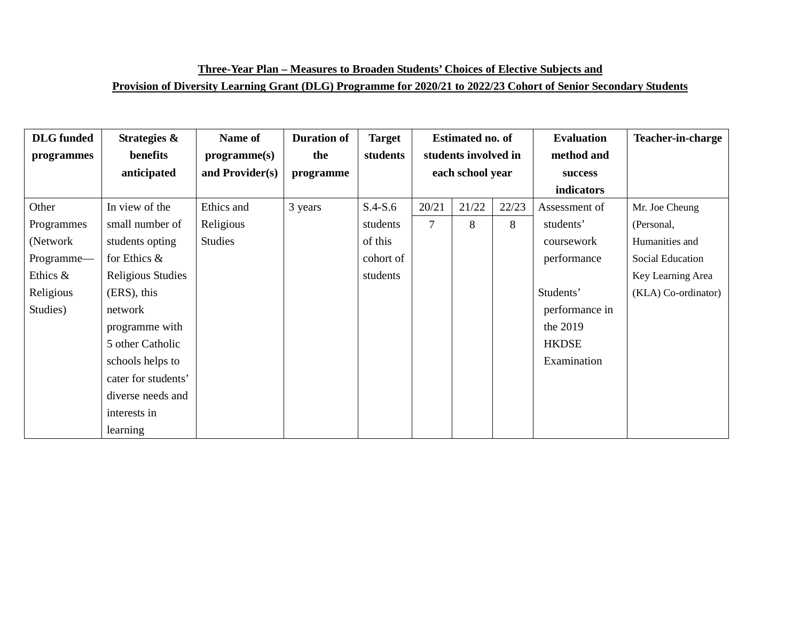| <b>DLG</b> funded | Strategies &        | Name of         | <b>Duration of</b> | <b>Target</b> | Estimated no. of |                      | <b>Evaluation</b> | <b>Teacher-in-charge</b> |                     |
|-------------------|---------------------|-----------------|--------------------|---------------|------------------|----------------------|-------------------|--------------------------|---------------------|
| programmes        | benefits            | programme(s)    | the                | students      |                  | students involved in |                   | method and               |                     |
|                   | anticipated         | and Provider(s) | programme          |               | each school year |                      |                   | success                  |                     |
|                   |                     |                 |                    |               |                  |                      |                   | indicators               |                     |
| Other             | In view of the      | Ethics and      | 3 years            | $S.4-S.6$     | 20/21            | 21/22                | 22/23             | Assessment of            | Mr. Joe Cheung      |
| Programmes        | small number of     | Religious       |                    | students      | 7                | 8                    | 8                 | students'                | (Personal,          |
| (Network)         | students opting     | Studies         |                    | of this       |                  |                      |                   | coursework               | Humanities and      |
| Programme-        | for Ethics $\&$     |                 |                    | cohort of     |                  |                      |                   | performance              | Social Education    |
| Ethics &          | Religious Studies   |                 |                    | students      |                  |                      |                   |                          | Key Learning Area   |
| Religious         | (ERS), this         |                 |                    |               |                  |                      |                   | Students'                | (KLA) Co-ordinator) |
| Studies)          | network             |                 |                    |               |                  |                      |                   | performance in           |                     |
|                   | programme with      |                 |                    |               |                  |                      |                   | the 2019                 |                     |
|                   | 5 other Catholic    |                 |                    |               |                  |                      |                   | <b>HKDSE</b>             |                     |
|                   | schools helps to    |                 |                    |               |                  |                      |                   | Examination              |                     |
|                   | cater for students' |                 |                    |               |                  |                      |                   |                          |                     |
|                   | diverse needs and   |                 |                    |               |                  |                      |                   |                          |                     |
|                   | interests in        |                 |                    |               |                  |                      |                   |                          |                     |
|                   | learning            |                 |                    |               |                  |                      |                   |                          |                     |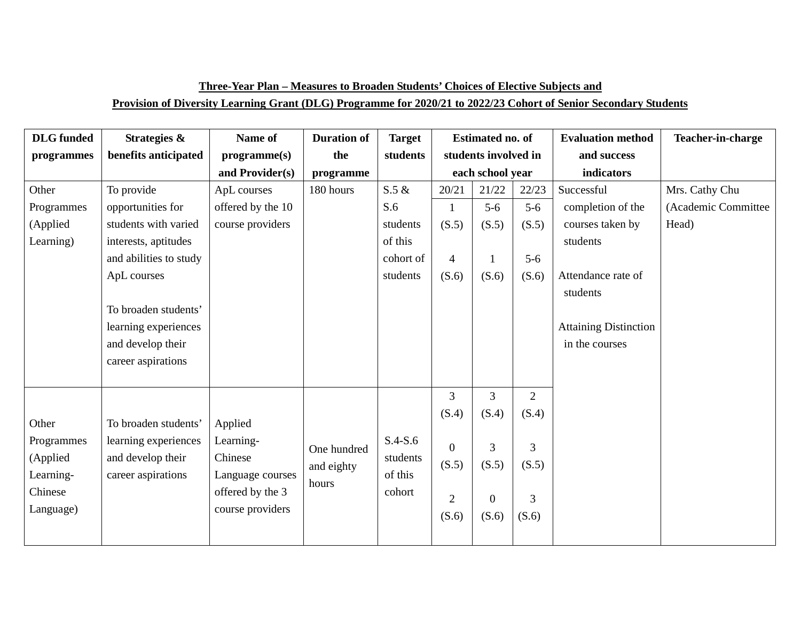| <b>DLG</b> funded | Strategies &           | Name of           | <b>Duration of</b> | <b>Target</b> |                  | <b>Estimated no. of</b> |                | <b>Evaluation method</b>     | Teacher-in-charge   |
|-------------------|------------------------|-------------------|--------------------|---------------|------------------|-------------------------|----------------|------------------------------|---------------------|
| programmes        | benefits anticipated   | programme(s)      | the                | students      |                  | students involved in    |                | and success                  |                     |
|                   |                        | and Provider(s)   | programme          |               | each school year |                         |                | indicators                   |                     |
| Other             | To provide             | ApL courses       | 180 hours          | $S.5 \&$      | 20/21            | 22/23<br>21/22          |                | Successful                   | Mrs. Cathy Chu      |
| Programmes        | opportunities for      | offered by the 10 |                    | S.6           |                  | $5-6$                   | $5-6$          | completion of the            | (Academic Committee |
| (Applied          | students with varied   | course providers  |                    | students      | (S.5)            | (S.5)                   | (S.5)          | courses taken by             | Head)               |
| Learning)         | interests, aptitudes   |                   |                    | of this       |                  |                         |                | students                     |                     |
|                   | and abilities to study |                   |                    | cohort of     | $\overline{4}$   | $\mathbf{1}$            | $5-6$          |                              |                     |
|                   | ApL courses            |                   |                    | students      | (S.6)            | (S.6)                   | (S.6)          | Attendance rate of           |                     |
|                   |                        |                   |                    |               |                  |                         |                | students                     |                     |
|                   | To broaden students'   |                   |                    |               |                  |                         |                |                              |                     |
|                   | learning experiences   |                   |                    |               |                  |                         |                | <b>Attaining Distinction</b> |                     |
|                   | and develop their      |                   |                    |               |                  |                         |                | in the courses               |                     |
|                   | career aspirations     |                   |                    |               |                  |                         |                |                              |                     |
|                   |                        |                   |                    |               |                  |                         |                |                              |                     |
|                   |                        |                   |                    |               | 3                | 3                       | $\overline{2}$ |                              |                     |
|                   |                        |                   |                    |               | (S.4)            | (S.4)                   | (S.4)          |                              |                     |

S.4-S.6 students of this cohort

0 (S.5)

3 (S.5)

3 (S.5)

3 (S.6)

0 (S.6)

2 (S.6)

**Other** 

Programmes (Applied Learning-Chinese Language)

To broaden students' learning experiences and develop their career aspirations

Applied Learning-Chinese

Language courses offered by the 3 course providers

One hundred and eighty

hours

# **Three-Year Plan – Measures to Broaden Students' Choices of Elective Subjects and**

#### **Provision of Diversity Learning Grant (DLG) Programme for 2020/21 to 2022/23 Cohort of Senior Secondary Students**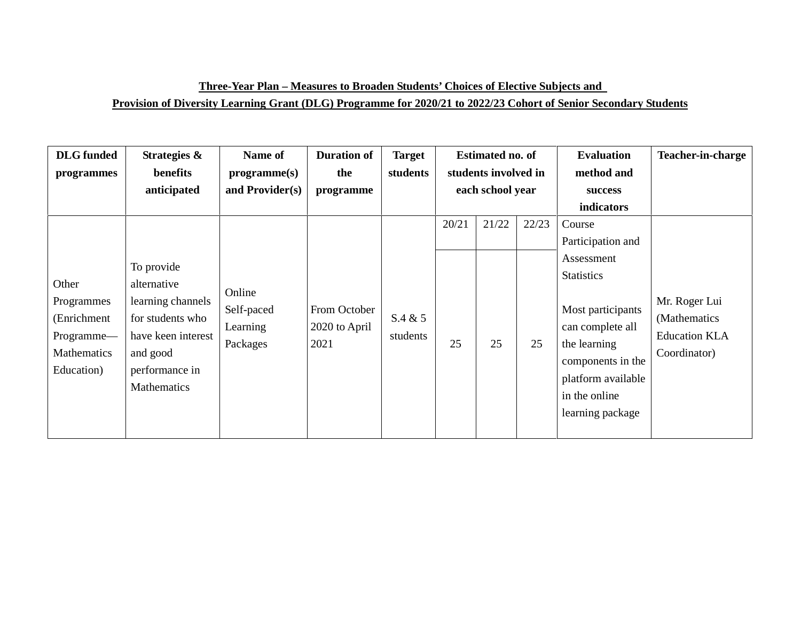### **Three-Year Plan – Measures to Broaden Students' Choices of Elective Subjects and**

#### **Provision of Diversity Learning Grant (DLG) Programme for 2020/21 to 2022/23 Cohort of Senior Secondary Students**

| <b>DLG</b> funded<br>programmes                                               | Strategies &<br>benefits<br>anticipated                                                                                               | Name of<br>programme(s)<br>and Provider(s)   | <b>Duration of</b><br>the<br>programme | <b>Target</b><br>students | <b>Estimated no. of</b><br>students involved in<br>each school year |             |             | <b>Evaluation</b><br>method and<br>success                                                                                                                                                                            | Teacher-in-charge                                                     |
|-------------------------------------------------------------------------------|---------------------------------------------------------------------------------------------------------------------------------------|----------------------------------------------|----------------------------------------|---------------------------|---------------------------------------------------------------------|-------------|-------------|-----------------------------------------------------------------------------------------------------------------------------------------------------------------------------------------------------------------------|-----------------------------------------------------------------------|
| Other<br>Programmes<br>(Enrichment<br>Programme-<br>Mathematics<br>Education) | To provide<br>alternative<br>learning channels<br>for students who<br>have keen interest<br>and good<br>performance in<br>Mathematics | Online<br>Self-paced<br>Learning<br>Packages | From October<br>2020 to April<br>2021  | S.4 & 5<br>students       | 20/21<br>25                                                         | 21/22<br>25 | 22/23<br>25 | indicators<br>Course<br>Participation and<br>Assessment<br><b>Statistics</b><br>Most participants<br>can complete all<br>the learning<br>components in the<br>platform available<br>in the online<br>learning package | Mr. Roger Lui<br>(Mathematics<br><b>Education KLA</b><br>Coordinator) |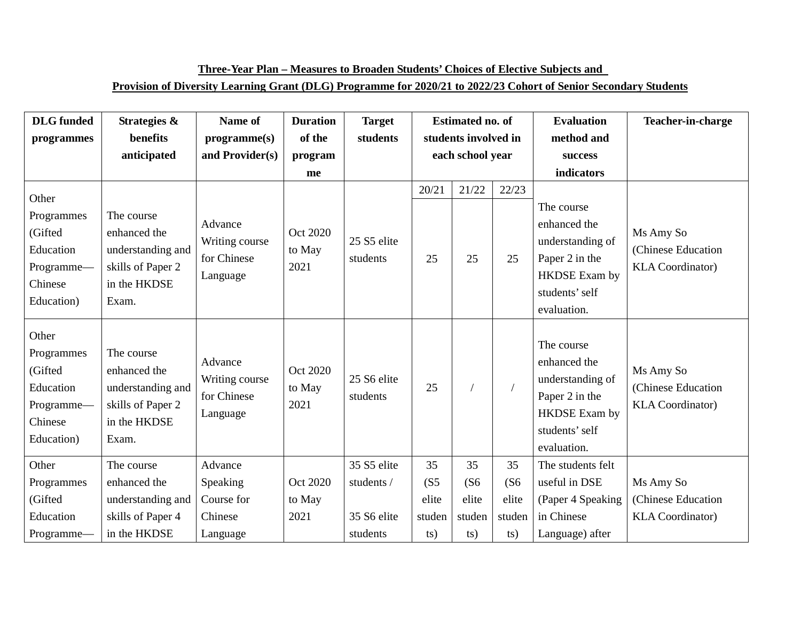| <b>DLG</b> funded                                                                  | Strategies &                                                                                  | Name of                                              | <b>Duration</b>            | <b>Target</b>           |                   | <b>Estimated no. of</b> |             | <b>Evaluation</b>                                                                                                         | Teacher-in-charge                                          |
|------------------------------------------------------------------------------------|-----------------------------------------------------------------------------------------------|------------------------------------------------------|----------------------------|-------------------------|-------------------|-------------------------|-------------|---------------------------------------------------------------------------------------------------------------------------|------------------------------------------------------------|
| programmes                                                                         | benefits                                                                                      | programme(s)                                         | of the                     | students                |                   | students involved in    |             | method and                                                                                                                |                                                            |
|                                                                                    | anticipated                                                                                   | and Provider(s)                                      | program                    |                         |                   | each school year        |             | success                                                                                                                   |                                                            |
|                                                                                    |                                                                                               |                                                      | me                         |                         |                   |                         |             | indicators                                                                                                                |                                                            |
| Other<br>Programmes<br>(Gifted<br>Education<br>Programme-<br>Chinese<br>Education) | The course<br>enhanced the<br>understanding and<br>skills of Paper 2<br>in the HKDSE<br>Exam. | Advance<br>Writing course<br>for Chinese<br>Language | Oct 2020<br>to May<br>2021 | 25 S5 elite<br>students | 20/21<br>25       | 21/22<br>25             | 22/23<br>25 | The course<br>enhanced the<br>understanding of<br>Paper 2 in the<br><b>HKDSE</b> Exam by<br>students' self<br>evaluation. | Ms Amy So<br>(Chinese Education<br><b>KLA</b> Coordinator) |
| Other<br>Programmes<br>(Gifted<br>Education<br>Programme-<br>Chinese<br>Education) | The course<br>enhanced the<br>understanding and<br>skills of Paper 2<br>in the HKDSE<br>Exam. | Advance<br>Writing course<br>for Chinese<br>Language | Oct 2020<br>to May<br>2021 | 25 S6 elite<br>students | 25                |                         |             | The course<br>enhanced the<br>understanding of<br>Paper 2 in the<br><b>HKDSE</b> Exam by<br>students' self<br>evaluation. | Ms Amy So<br>(Chinese Education<br><b>KLA</b> Coordinator) |
| Other                                                                              | The course                                                                                    | Advance                                              |                            | 35 S5 elite             | 35                | 35                      | 35          | The students felt                                                                                                         |                                                            |
| Programmes                                                                         | enhanced the                                                                                  | Speaking                                             | Oct 2020                   | students /              | (S <sub>5</sub> ) | (S6)                    | (S6)        | useful in DSE                                                                                                             | Ms Amy So                                                  |
| (Gifted                                                                            | understanding and                                                                             | Course for                                           | to May                     |                         | elite             | elite                   | elite       | (Paper 4 Speaking                                                                                                         | (Chinese Education                                         |
| Education                                                                          | skills of Paper 4                                                                             | Chinese                                              | 2021                       | 35 S6 elite             | studen            | studen                  | studen      | in Chinese                                                                                                                | <b>KLA</b> Coordinator)                                    |
| Programme-                                                                         | in the HKDSE                                                                                  | Language                                             |                            | students                | ts)               | ts)                     | ts)         | Language) after                                                                                                           |                                                            |

**Three-Year Plan – Measures to Broaden Students' Choices of Elective Subjects and**

#### **Provision of Diversity Learning Grant (DLG) Programme for 2020/21 to 2022/23 Cohort of Senior Secondary Students**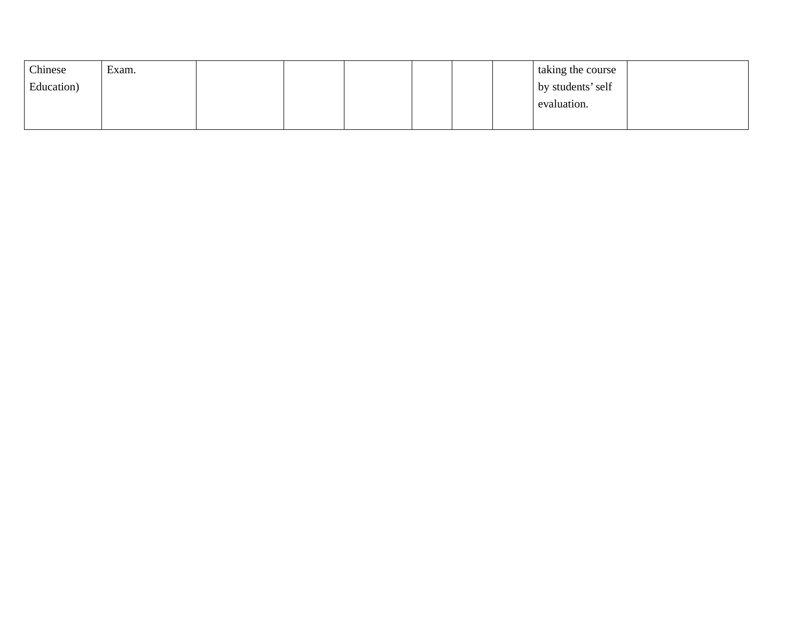| Chinese    | Exam. |  |  |  | taking the course |  |
|------------|-------|--|--|--|-------------------|--|
| Education) |       |  |  |  | by students' self |  |
|            |       |  |  |  | evaluation.       |  |
|            |       |  |  |  |                   |  |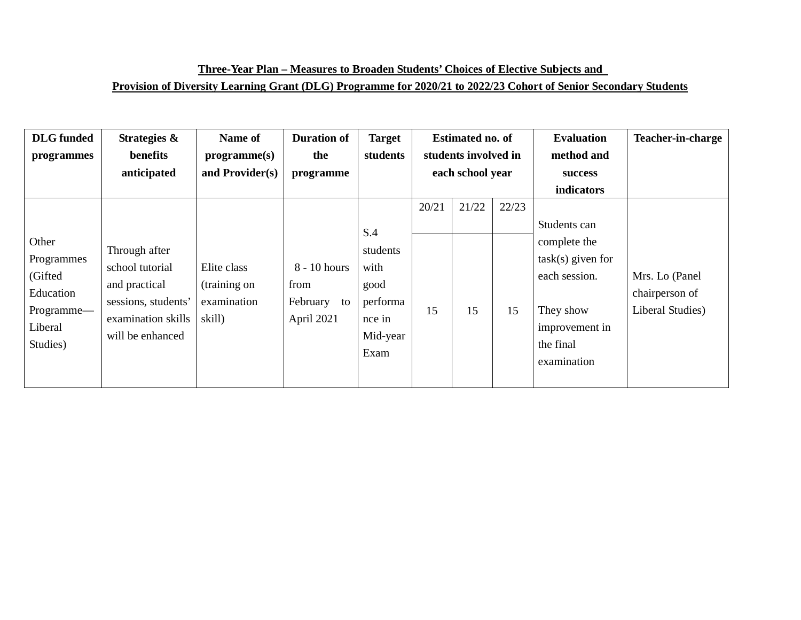| <b>DLG</b> funded                                                                | Strategies &                                                                                                       | Name of                                              | <b>Duration of</b>                                     | <b>Target</b>                                                      |       | <b>Estimated no. of</b>                  |       | <b>Evaluation</b>                                                                                               | <b>Teacher-in-charge</b>                             |
|----------------------------------------------------------------------------------|--------------------------------------------------------------------------------------------------------------------|------------------------------------------------------|--------------------------------------------------------|--------------------------------------------------------------------|-------|------------------------------------------|-------|-----------------------------------------------------------------------------------------------------------------|------------------------------------------------------|
| programmes                                                                       | benefits<br>anticipated                                                                                            | programme(s)<br>and Provider(s)                      | the<br>programme                                       | students                                                           |       | students involved in<br>each school year |       | method and<br>success                                                                                           |                                                      |
|                                                                                  |                                                                                                                    |                                                      |                                                        |                                                                    |       |                                          |       | <b>indicators</b>                                                                                               |                                                      |
|                                                                                  |                                                                                                                    |                                                      |                                                        |                                                                    | 20/21 | 21/22                                    | 22/23 |                                                                                                                 |                                                      |
|                                                                                  |                                                                                                                    |                                                      |                                                        | S.4                                                                |       |                                          |       | Students can                                                                                                    |                                                      |
| Other<br>Programmes<br>(Gifted<br>Education<br>Programme-<br>Liberal<br>Studies) | Through after<br>school tutorial<br>and practical<br>sessions, students'<br>examination skills<br>will be enhanced | Elite class<br>(training on<br>examination<br>skill) | $8 - 10$ hours<br>from<br>February<br>to<br>April 2021 | students<br>with<br>good<br>performa<br>nce in<br>Mid-year<br>Exam | 15    | 15                                       | 15    | complete the<br>$task(s)$ given for<br>each session.<br>They show<br>improvement in<br>the final<br>examination | Mrs. Lo (Panel<br>chairperson of<br>Liberal Studies) |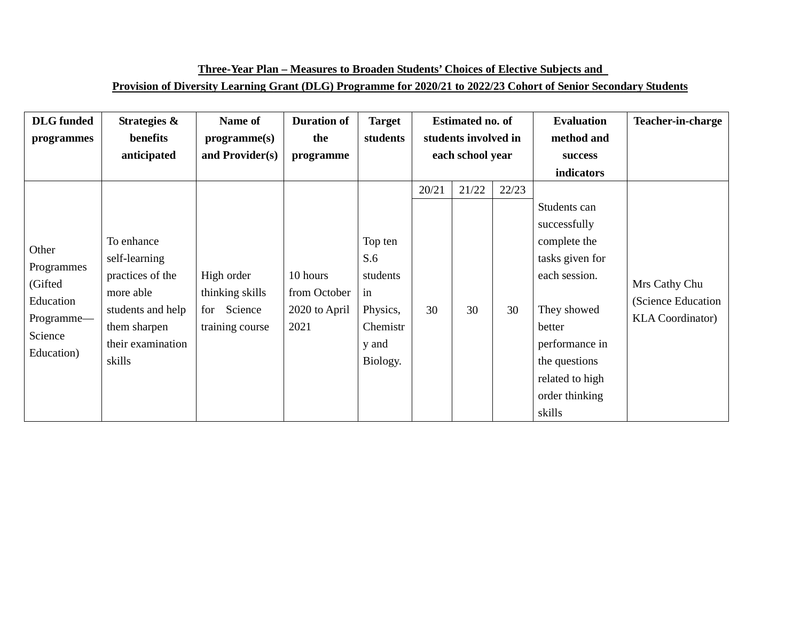## **Three-Year Plan – Measures to Broaden Students' Choices of Elective Subjects and Provision of Diversity Learning Grant (DLG) Programme for 2020/21 to 2022/23 Cohort of Senior Secondary Students**

| <b>DLG</b> funded | Strategies &      | Name of         | <b>Duration of</b> | <b>Target</b> | <b>Estimated no. of</b> |                      |       | <b>Evaluation</b> | <b>Teacher-in-charge</b> |
|-------------------|-------------------|-----------------|--------------------|---------------|-------------------------|----------------------|-------|-------------------|--------------------------|
| programmes        | benefits          | programme(s)    | the                | students      |                         | students involved in |       | method and        |                          |
|                   | anticipated       | and Provider(s) | programme          |               | each school year        |                      |       | success           |                          |
|                   |                   |                 |                    |               |                         |                      |       | indicators        |                          |
|                   |                   |                 |                    |               | 20/21                   | 21/22                | 22/23 |                   |                          |
|                   |                   |                 |                    |               |                         |                      |       | Students can      |                          |
|                   |                   |                 |                    |               |                         |                      |       | successfully      |                          |
| Other             | To enhance        |                 |                    | Top ten       |                         |                      |       | complete the      |                          |
| Programmes        | self-learning     |                 |                    | S.6           |                         |                      |       | tasks given for   |                          |
| (Gifted           | practices of the  | High order      | 10 hours           | students      |                         |                      |       | each session.     | Mrs Cathy Chu            |
| Education         | more able         | thinking skills | from October       | in            |                         |                      |       |                   | (Science Education       |
| Programme—        | students and help | for Science     | 2020 to April      | Physics,      | 30                      | 30                   | 30    | They showed       | <b>KLA Coordinator</b> ) |
| Science           | them sharpen      | training course | 2021               | Chemistr      |                         |                      |       | better            |                          |
| Education)        | their examination |                 |                    | y and         |                         |                      |       | performance in    |                          |
|                   | skills            |                 |                    | Biology.      |                         |                      |       | the questions     |                          |
|                   |                   |                 |                    |               |                         |                      |       | related to high   |                          |
|                   |                   |                 |                    |               |                         |                      |       | order thinking    |                          |
|                   |                   |                 |                    |               |                         |                      |       | skills            |                          |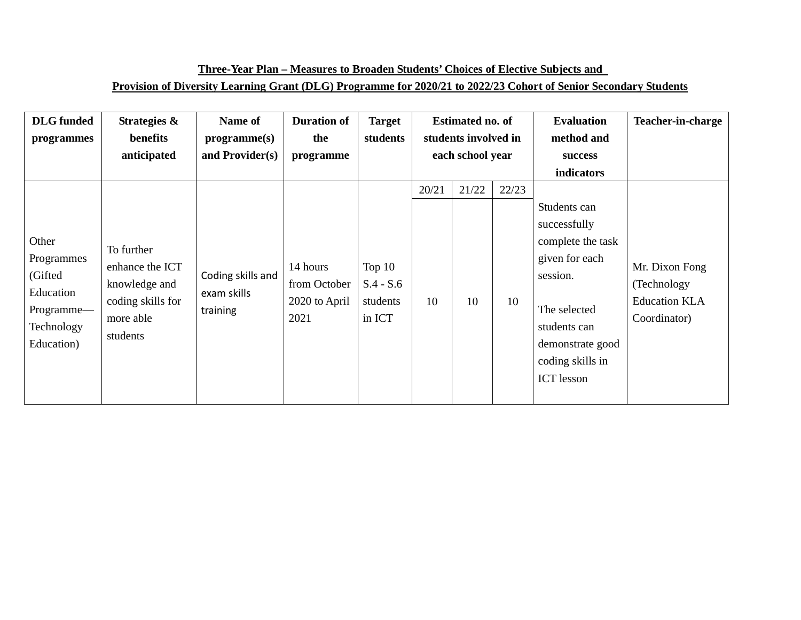## **Three-Year Plan – Measures to Broaden Students' Choices of Elective Subjects and Provision of Diversity Learning Grant (DLG) Programme for 2020/21 to 2022/23 Cohort of Senior Secondary Students**

| <b>DLG</b> funded                                                                     | Strategies &                                                                                 | Name of                                      | <b>Duration of</b>                                | <b>Target</b>                                 |                      | <b>Estimated no. of</b> |       | <b>Evaluation</b>                                                                                                                                                            | <b>Teacher-in-charge</b>                                               |
|---------------------------------------------------------------------------------------|----------------------------------------------------------------------------------------------|----------------------------------------------|---------------------------------------------------|-----------------------------------------------|----------------------|-------------------------|-------|------------------------------------------------------------------------------------------------------------------------------------------------------------------------------|------------------------------------------------------------------------|
| programmes                                                                            | benefits                                                                                     | programme(s)                                 | the                                               | students                                      | students involved in |                         |       | method and                                                                                                                                                                   |                                                                        |
|                                                                                       | anticipated                                                                                  | and Provider(s)                              | programme                                         |                                               | each school year     |                         |       | success                                                                                                                                                                      |                                                                        |
|                                                                                       |                                                                                              |                                              |                                                   |                                               |                      |                         |       | indicators                                                                                                                                                                   |                                                                        |
|                                                                                       |                                                                                              |                                              |                                                   |                                               | 20/21                | 21/22                   | 22/23 |                                                                                                                                                                              |                                                                        |
| Other<br>Programmes<br>(Gifted<br>Education<br>Programme-<br>Technology<br>Education) | To further<br>enhance the ICT<br>knowledge and<br>coding skills for<br>more able<br>students | Coding skills and<br>exam skills<br>training | 14 hours<br>from October<br>2020 to April<br>2021 | Top $10$<br>$S.4 - S.6$<br>students<br>in ICT | 10                   | 10                      | 10    | Students can<br>successfully<br>complete the task<br>given for each<br>session.<br>The selected<br>students can<br>demonstrate good<br>coding skills in<br><b>ICT</b> lesson | Mr. Dixon Fong<br>(Technology)<br><b>Education KLA</b><br>Coordinator) |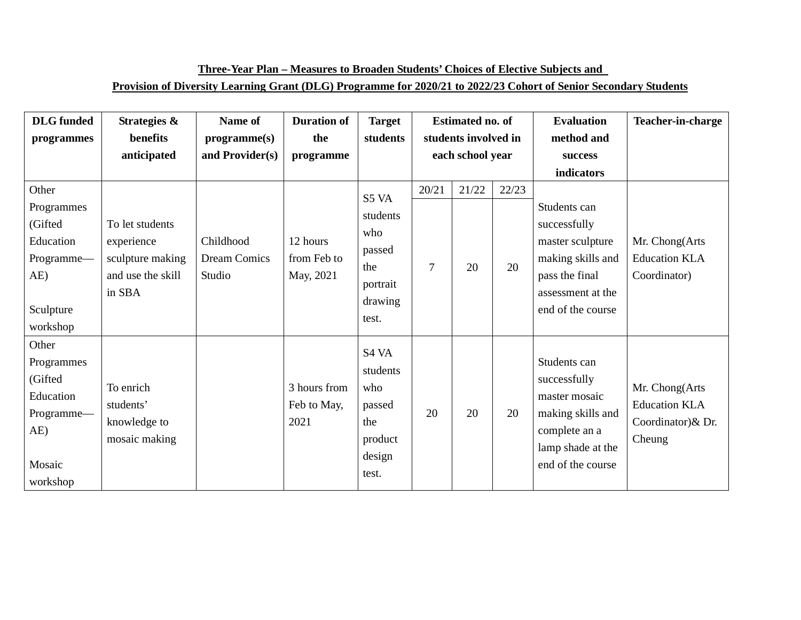| Three-Year Plan – Measures to Broaden Students' Choices of Elective Subjects and                                 |
|------------------------------------------------------------------------------------------------------------------|
| Provision of Diversity Learning Grant (DLG) Programme for 2020/21 to 2022/23 Cohort of Senior Secondary Students |

| <b>DLG</b> funded<br>programmes                                                           | Strategies &<br>benefits<br>anticipated                                          | Name of<br>programme(s)<br>and Provider(s) | <b>Duration of</b><br>the<br>programme | <b>Target</b><br>students                                                 | <b>Estimated no. of</b><br>students involved in<br>each school year |             |             | <b>Evaluation</b><br>method and<br>success<br>indicators                                                                          | Teacher-in-charge                                                      |
|-------------------------------------------------------------------------------------------|----------------------------------------------------------------------------------|--------------------------------------------|----------------------------------------|---------------------------------------------------------------------------|---------------------------------------------------------------------|-------------|-------------|-----------------------------------------------------------------------------------------------------------------------------------|------------------------------------------------------------------------|
| Other<br>Programmes<br>(Gifted<br>Education<br>Programme-<br>AE)<br>Sculpture<br>workshop | To let students<br>experience<br>sculpture making<br>and use the skill<br>in SBA | Childhood<br><b>Dream Comics</b><br>Studio | 12 hours<br>from Feb to<br>May, 2021   | S5 VA<br>students<br>who<br>passed<br>the<br>portrait<br>drawing<br>test. | 20/21<br>$\overline{7}$                                             | 21/22<br>20 | 22/23<br>20 | Students can<br>successfully<br>master sculpture<br>making skills and<br>pass the final<br>assessment at the<br>end of the course | Mr. Chong(Arts<br><b>Education KLA</b><br>Coordinator)                 |
| Other<br>Programmes<br>(Gifted<br>Education<br>Programme-<br>AE)<br>Mosaic<br>workshop    | To enrich<br>students'<br>knowledge to<br>mosaic making                          |                                            | 3 hours from<br>Feb to May,<br>2021    | S4 VA<br>students<br>who<br>passed<br>the<br>product<br>design<br>test.   | 20                                                                  | 20          | 20          | Students can<br>successfully<br>master mosaic<br>making skills and<br>complete an a<br>lamp shade at the<br>end of the course     | Mr. Chong(Arts<br><b>Education KLA</b><br>Coordinator) & Dr.<br>Cheung |